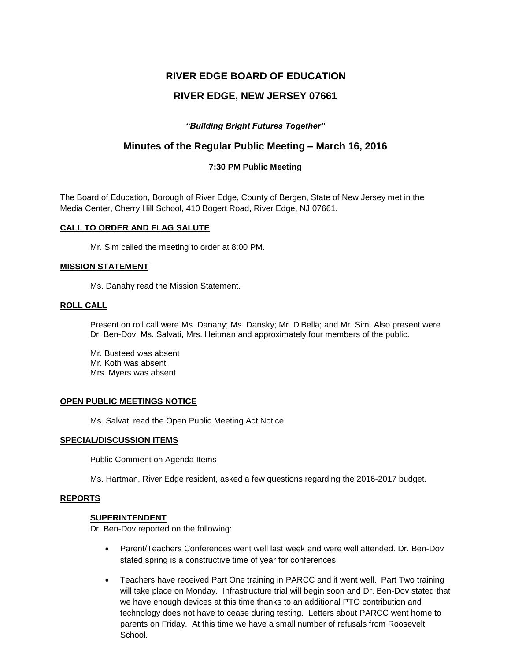# **RIVER EDGE BOARD OF EDUCATION**

# **RIVER EDGE, NEW JERSEY 07661**

# *"Building Bright Futures Together"*

# **Minutes of the Regular Public Meeting – March 16, 2016**

# **7:30 PM Public Meeting**

The Board of Education, Borough of River Edge, County of Bergen, State of New Jersey met in the Media Center, Cherry Hill School, 410 Bogert Road, River Edge, NJ 07661.

# **CALL TO ORDER AND FLAG SALUTE**

Mr. Sim called the meeting to order at 8:00 PM.

# **MISSION STATEMENT**

Ms. Danahy read the Mission Statement.

#### **ROLL CALL**

Present on roll call were Ms. Danahy; Ms. Dansky; Mr. DiBella; and Mr. Sim. Also present were Dr. Ben-Dov, Ms. Salvati, Mrs. Heitman and approximately four members of the public.

Mr. Busteed was absent Mr. Koth was absent Mrs. Myers was absent

#### **OPEN PUBLIC MEETINGS NOTICE**

Ms. Salvati read the Open Public Meeting Act Notice.

#### **SPECIAL/DISCUSSION ITEMS**

Public Comment on Agenda Items

Ms. Hartman, River Edge resident, asked a few questions regarding the 2016-2017 budget.

#### **REPORTS**

### **SUPERINTENDENT**

Dr. Ben-Dov reported on the following:

- Parent/Teachers Conferences went well last week and were well attended. Dr. Ben-Dov stated spring is a constructive time of year for conferences.
- Teachers have received Part One training in PARCC and it went well. Part Two training will take place on Monday. Infrastructure trial will begin soon and Dr. Ben-Dov stated that we have enough devices at this time thanks to an additional PTO contribution and technology does not have to cease during testing. Letters about PARCC went home to parents on Friday. At this time we have a small number of refusals from Roosevelt School.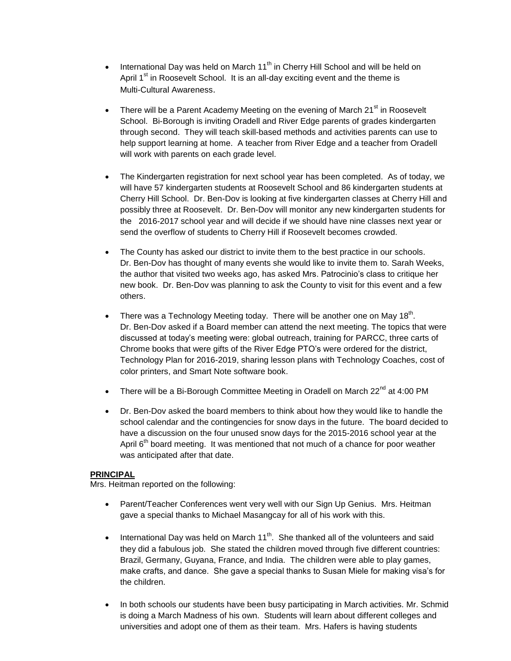- **International Day was held on March 11<sup>th</sup> in Cherry Hill School and will be held on** April 1<sup>st</sup> in Roosevelt School. It is an all-day exciting event and the theme is Multi-Cultural Awareness.
- There will be a Parent Academy Meeting on the evening of March 21<sup>st</sup> in Roosevelt School. Bi-Borough is inviting Oradell and River Edge parents of grades kindergarten through second. They will teach skill-based methods and activities parents can use to help support learning at home. A teacher from River Edge and a teacher from Oradell will work with parents on each grade level.
- The Kindergarten registration for next school year has been completed. As of today, we will have 57 kindergarten students at Roosevelt School and 86 kindergarten students at Cherry Hill School. Dr. Ben-Dov is looking at five kindergarten classes at Cherry Hill and possibly three at Roosevelt. Dr. Ben-Dov will monitor any new kindergarten students for the 2016-2017 school year and will decide if we should have nine classes next year or send the overflow of students to Cherry Hill if Roosevelt becomes crowded.
- The County has asked our district to invite them to the best practice in our schools. Dr. Ben-Dov has thought of many events she would like to invite them to. Sarah Weeks, the author that visited two weeks ago, has asked Mrs. Patrocinio's class to critique her new book. Dr. Ben-Dov was planning to ask the County to visit for this event and a few others.
- There was a Technology Meeting today. There will be another one on May 18<sup>th</sup>. Dr. Ben-Dov asked if a Board member can attend the next meeting. The topics that were discussed at today's meeting were: global outreach, training for PARCC, three carts of Chrome books that were gifts of the River Edge PTO's were ordered for the district, Technology Plan for 2016-2019, sharing lesson plans with Technology Coaches, cost of color printers, and Smart Note software book.
- There will be a Bi-Borough Committee Meeting in Oradell on March  $22^{nd}$  at 4:00 PM
- Dr. Ben-Dov asked the board members to think about how they would like to handle the school calendar and the contingencies for snow days in the future. The board decided to have a discussion on the four unused snow days for the 2015-2016 school year at the April  $6<sup>th</sup>$  board meeting. It was mentioned that not much of a chance for poor weather was anticipated after that date.

#### **PRINCIPAL**

Mrs. Heitman reported on the following:

- Parent/Teacher Conferences went very well with our Sign Up Genius. Mrs. Heitman gave a special thanks to Michael Masangcay for all of his work with this.
- International Day was held on March  $11^{th}$ . She thanked all of the volunteers and said they did a fabulous job. She stated the children moved through five different countries: Brazil, Germany, Guyana, France, and India. The children were able to play games, make crafts, and dance. She gave a special thanks to Susan Miele for making visa's for the children.
- In both schools our students have been busy participating in March activities. Mr. Schmid is doing a March Madness of his own. Students will learn about different colleges and universities and adopt one of them as their team. Mrs. Hafers is having students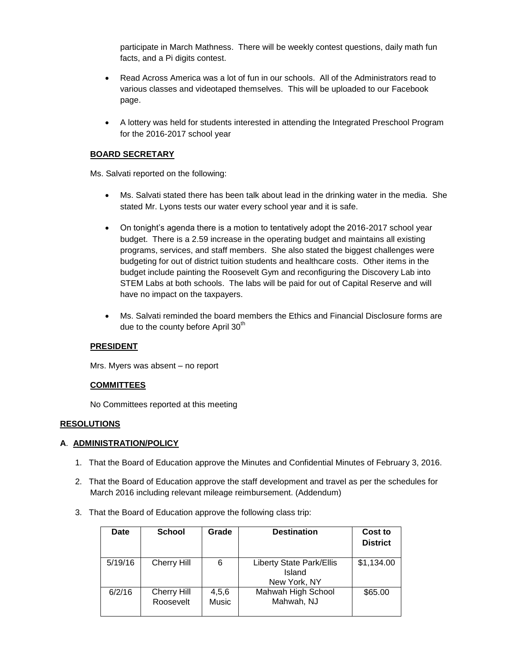participate in March Mathness. There will be weekly contest questions, daily math fun facts, and a Pi digits contest.

- Read Across America was a lot of fun in our schools. All of the Administrators read to various classes and videotaped themselves. This will be uploaded to our Facebook page.
- A lottery was held for students interested in attending the Integrated Preschool Program for the 2016-2017 school year

# **BOARD SECRETARY**

Ms. Salvati reported on the following:

- Ms. Salvati stated there has been talk about lead in the drinking water in the media. She stated Mr. Lyons tests our water every school year and it is safe.
- On tonight's agenda there is a motion to tentatively adopt the 2016-2017 school year budget. There is a 2.59 increase in the operating budget and maintains all existing programs, services, and staff members. She also stated the biggest challenges were budgeting for out of district tuition students and healthcare costs. Other items in the budget include painting the Roosevelt Gym and reconfiguring the Discovery Lab into STEM Labs at both schools. The labs will be paid for out of Capital Reserve and will have no impact on the taxpayers.
- Ms. Salvati reminded the board members the Ethics and Financial Disclosure forms are due to the county before April  $30<sup>th</sup>$

# **PRESIDENT**

Mrs. Myers was absent – no report

# **COMMITTEES**

No Committees reported at this meeting

#### **RESOLUTIONS**

#### **A**. **ADMINISTRATION/POLICY**

- 1. That the Board of Education approve the Minutes and Confidential Minutes of February 3, 2016.
- 2. That the Board of Education approve the staff development and travel as per the schedules for March 2016 including relevant mileage reimbursement. (Addendum)
- 3. That the Board of Education approve the following class trip:

| Date    | <b>School</b>                   | Grade          | <b>Destination</b>                                        | Cost to<br><b>District</b> |
|---------|---------------------------------|----------------|-----------------------------------------------------------|----------------------------|
| 5/19/16 | <b>Cherry Hill</b>              | 6              | <b>Liberty State Park/Ellis</b><br>Island<br>New York, NY | \$1,134.00                 |
| 6/2/16  | <b>Cherry Hill</b><br>Roosevelt | 4,5,6<br>Music | Mahwah High School<br>Mahwah, NJ                          | \$65.00                    |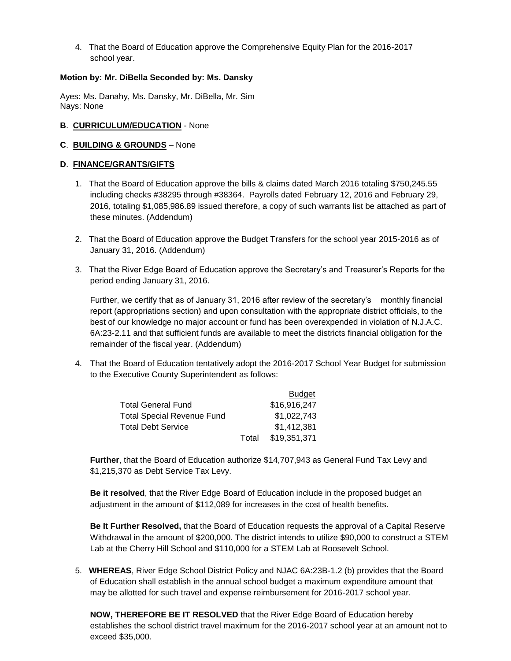4. That the Board of Education approve the Comprehensive Equity Plan for the 2016-2017 school year.

### **Motion by: Mr. DiBella Seconded by: Ms. Dansky**

Ayes: Ms. Danahy, Ms. Dansky, Mr. DiBella, Mr. Sim Nays: None

### **B**. **CURRICULUM/EDUCATION** - None

# **C**. **BUILDING & GROUNDS** – None

# **D**. **FINANCE/GRANTS/GIFTS**

- 1. That the Board of Education approve the bills & claims dated March 2016 totaling \$750,245.55 including checks #38295 through #38364. Payrolls dated February 12, 2016 and February 29, 2016, totaling \$1,085,986.89 issued therefore, a copy of such warrants list be attached as part of these minutes. (Addendum)
- 2. That the Board of Education approve the Budget Transfers for the school year 2015-2016 as of January 31, 2016. (Addendum)
- 3. That the River Edge Board of Education approve the Secretary's and Treasurer's Reports for the period ending January 31, 2016.

Further, we certify that as of January 31, 2016 after review of the secretary's monthly financial report (appropriations section) and upon consultation with the appropriate district officials, to the best of our knowledge no major account or fund has been overexpended in violation of N.J.A.C. 6A:23-2.11 and that sufficient funds are available to meet the districts financial obligation for the remainder of the fiscal year. (Addendum)

4. That the Board of Education tentatively adopt the 2016-2017 School Year Budget for submission to the Executive County Superintendent as follows:

|                                   |       | <b>Budget</b> |  |
|-----------------------------------|-------|---------------|--|
| <b>Total General Fund</b>         |       | \$16,916,247  |  |
| <b>Total Special Revenue Fund</b> |       | \$1,022,743   |  |
| <b>Total Debt Service</b>         |       | \$1.412.381   |  |
|                                   | Total | \$19,351,371  |  |

**Further**, that the Board of Education authorize \$14,707,943 as General Fund Tax Levy and \$1,215,370 as Debt Service Tax Levy.

**Be it resolved**, that the River Edge Board of Education include in the proposed budget an adjustment in the amount of \$112,089 for increases in the cost of health benefits.

**Be It Further Resolved,** that the Board of Education requests the approval of a Capital Reserve Withdrawal in the amount of \$200,000. The district intends to utilize \$90,000 to construct a STEM Lab at the Cherry Hill School and \$110,000 for a STEM Lab at Roosevelt School.

5. **WHEREAS**, River Edge School District Policy and NJAC 6A:23B-1.2 (b) provides that the Board of Education shall establish in the annual school budget a maximum expenditure amount that may be allotted for such travel and expense reimbursement for 2016-2017 school year.

**NOW, THEREFORE BE IT RESOLVED** that the River Edge Board of Education hereby establishes the school district travel maximum for the 2016-2017 school year at an amount not to exceed \$35,000.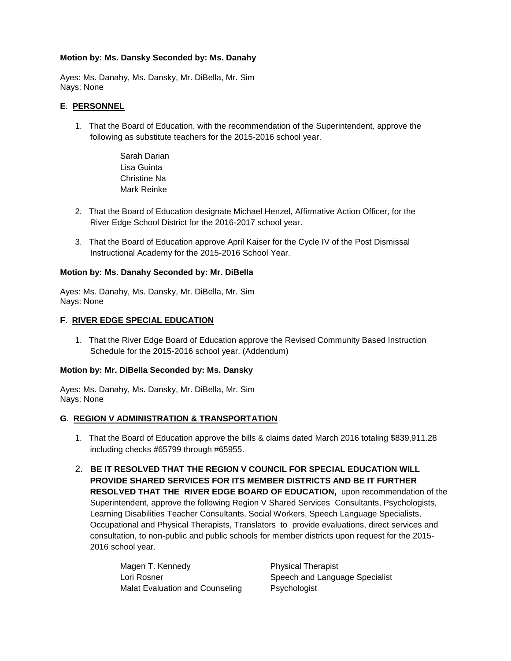# **Motion by: Ms. Dansky Seconded by: Ms. Danahy**

Ayes: Ms. Danahy, Ms. Dansky, Mr. DiBella, Mr. Sim Nays: None

# **E**. **PERSONNEL**

- 1. That the Board of Education, with the recommendation of the Superintendent, approve the following as substitute teachers for the 2015-2016 school year.
	- Sarah Darian Lisa Guinta Christine Na Mark Reinke
- 2. That the Board of Education designate Michael Henzel, Affirmative Action Officer, for the River Edge School District for the 2016-2017 school year.
- 3. That the Board of Education approve April Kaiser for the Cycle IV of the Post Dismissal Instructional Academy for the 2015-2016 School Year.

# **Motion by: Ms. Danahy Seconded by: Mr. DiBella**

Ayes: Ms. Danahy, Ms. Dansky, Mr. DiBella, Mr. Sim Nays: None

# **F**. **RIVER EDGE SPECIAL EDUCATION**

1. That the River Edge Board of Education approve the Revised Community Based Instruction Schedule for the 2015-2016 school year. (Addendum)

#### **Motion by: Mr. DiBella Seconded by: Ms. Dansky**

Ayes: Ms. Danahy, Ms. Dansky, Mr. DiBella, Mr. Sim Nays: None

#### **G**. **REGION V ADMINISTRATION & TRANSPORTATION**

- 1. That the Board of Education approve the bills & claims dated March 2016 totaling \$839,911.28 including checks #65799 through #65955.
- 2. **BE IT RESOLVED THAT THE REGION V COUNCIL FOR SPECIAL EDUCATION WILL PROVIDE SHARED SERVICES FOR ITS MEMBER DISTRICTS AND BE IT FURTHER RESOLVED THAT THE RIVER EDGE BOARD OF EDUCATION,** upon recommendation of the Superintendent, approve the following Region V Shared Services Consultants, Psychologists, Learning Disabilities Teacher Consultants, Social Workers, Speech Language Specialists, Occupational and Physical Therapists, Translators to provide evaluations, direct services and consultation, to non-public and public schools for member districts upon request for the 2015- 2016 school year.

Magen T. Kennedy **Physical Therapist** Lori Rosner Speech and Language Specialist Malat Evaluation and Counseling Psychologist